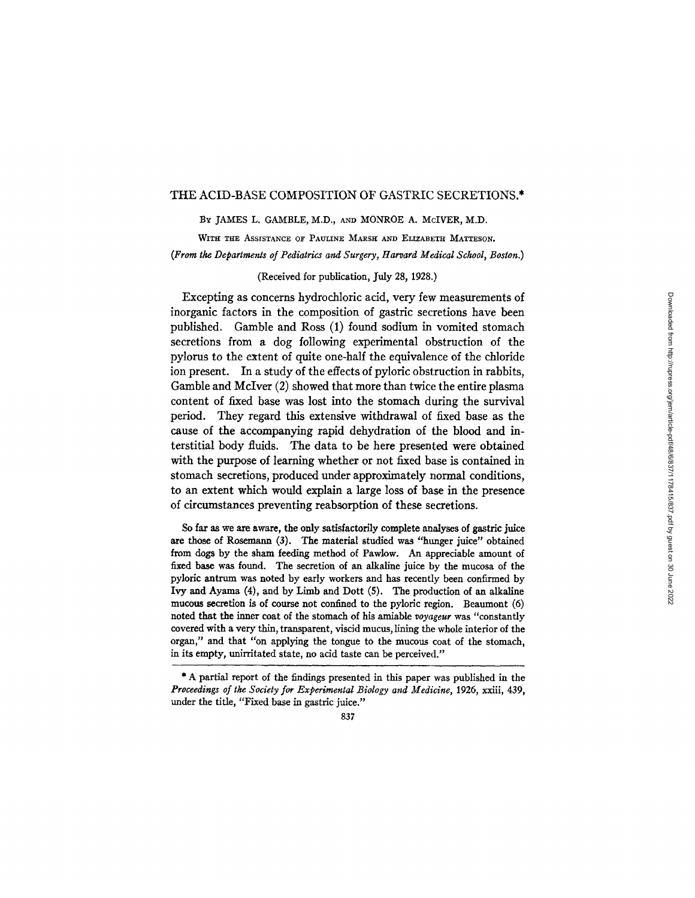### THE ACID-BASE COMPOSITION OF GASTRIC SECRETIONS.\*

### BY JAMES L. GAMBLE, M.D., AND MONROE A. McIVER, M.D.

WITH THE ASSISTANCE OF PAULINE MARSH AND ELIZABETH MATTESON. *(From the Departmenls of Pediatrics and Surgery, Harvard Medical School, Boston.)* 

## (Received for publication, July 28, 1928.)

Excepting as concerns hydrochloric acid, very few measurements of inorganic factors in the composition of gastric secretions have been published. Gamble and Ross (1) found sodium in vomited stomach secretions from a dog following experimental obstruction of the pylorus to the extent of quite one-half the equivalence of the chloride ion present. In a study of the effects of pyloric obstruction in rabbits, Gamble and McIver (2) showed that more than twice the entire plasma content of fixed base was lost into the stomach during the survival period. They regard this extensive withdrawal of fixed base as the cause of the accompanying rapid dehydration of the blood and interstitial body fluids. The data to be here presented were obtained with the purpose of learning whether or not fixed base is contained in stomach secretions, produced under approximately normal conditions, to an extent which would explain a large loss of base in the presence of circumstances preventing reabsorption of these secretions.

So far as we are aware, the only satisfactorily complete analyses of gastric juice are those of Rosemann (3). The material studied was "hunger juice" obtained from dogs by the sham feeding method of Pawlow. An appreciable amount of fixed base was found. The secretion of an alkaline juice by the mucosa of the pyloric antrum was noted by early workers and has recently been confirmed by Ivy and Ayama (4), and by Limb and Dott (5). The production of an alkaline mucous secretion is of course not confined to the pylorie region. Beaumont (6) noted that the inner coat of the stomach of his amiable *voyageur* was "constantly covered with a very thin, transparent, viscid mucus, lining the whole interior of the organ," and that "on applying the tongue to the mucous coat of the stomach, in its empty, unirritated state, no acid taste can be perceived."

<sup>\*</sup> A partial report of the findings presented in this paper was published in the *Proceedings of tke Society for Experimental Biology and Medicine,* 1926, xxiii, 439, under the title, "Fixed base in gastric juice."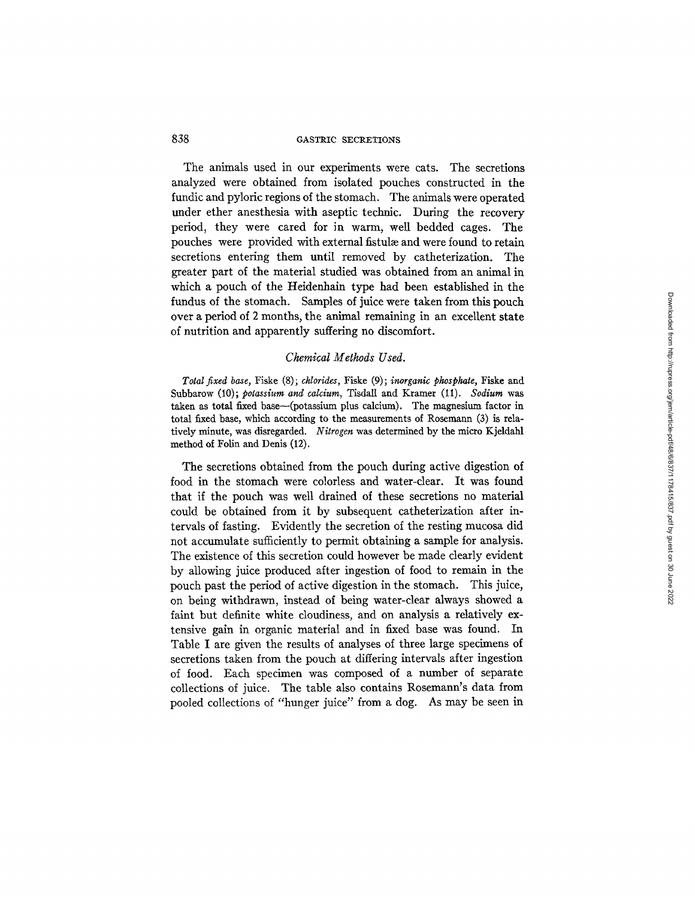The animals used in our experiments were cats. The secretions analyzed were obtained from isolated pouches constructed in the fundic and pyloric regions of the stomach. The animals were operated under ether anesthesia with aseptic technic. During the recovery period, they were cared for in warm, well bedded cages. The pouches were provided with external fistulae and were found to retain secretions entering them until removed by catheterization. The greater part of the material studied was obtained from an animal in which a pouch of the Heidenhain type had been established in the fundus of the stomach. Samples of juice were taken from this pouch over a period of 2 months, the animal remaining in an excellent state of nutrition and apparently suffering no discomfort.

### *Chemical Methods Used.*

*Total fixed base,* Fiske (8); *chlorides,* Fiske (9); *inorganic phosphate,* Fiske and Subbarow (10); *potassium and calcium,* Tisdall and Kramer (i1). *Sodium* was taken as total fixed base-(potassium plus calcium). The magnesium factor in total fixed base, which according to the measurements of Rosemann (3) is relatively minute, was disregarded. *Nitrogen* was determined by the micro Kjeldahl method of Folin and Denis (12).

The secretions obtained from the pouch during active digestion of food in the stomach were colorless and water-clear. It was found that if the pouch was well drained of these secretions no material could be obtained from it by subsequent catheterization after intervals of fasting. Evidently the secretion of the resting mucosa did not accumulate sufficiently to permit obtaining a sample for analysis. The existence of this secretion could however be made clearly evident by allowing juice produced after ingestion of food to remain in the pouch past the period of active digestion in the stomach. This juice, on being withdrawn, instead of being water-clear always showed a faint but definite white cloudiness, and on analysis a relatively extensive gain in organic material and in fixed base was found. In Table I are given the results of analyses of three large specimens of secretions taken from the pouch at differing intervals after ingestion of food. Each specimen was composed of a number of separate collections of juice. The table also contains Rosemann's data from pooled collections of "hunger juice" from a dog. As may be seen in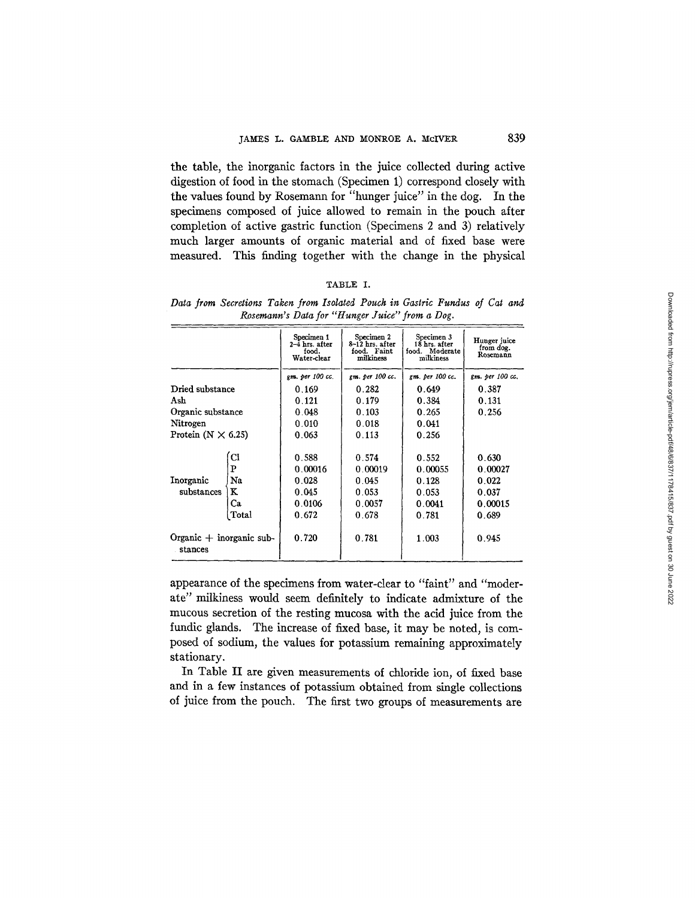the table, the inorganic factors in the juice collected during active digestion of food in the stomach (Specimen 1) correspond closely with the values found by Rosemann for "hunger juice" in the dog. In the specimens composed of juice allowed to remain in the pouch after completion of active gastric function (Specimens 2 and 3) relatively much larger amounts of organic material and of fixed base were measured. This finding together with the change in the physical

#### TABLE I.

Data from Secretions Taken from Isolated Pouch in Gastric Fundus of Cat and *Rosemann's Data for "Hunger Juice" from a Dog.* 

|                                         |       | Specimen 1<br>2-4 hrs. after<br>food.<br>Water-clear | Specimen 2<br>8-12 hrs. after<br>food. Faint<br>milkiness | Specimen 3<br>18 hrs. after<br>food. Moderate<br>milkiness | Hunger juice<br>from dog.<br>Rosemann |
|-----------------------------------------|-------|------------------------------------------------------|-----------------------------------------------------------|------------------------------------------------------------|---------------------------------------|
|                                         |       | gm. per 100 cc.                                      | gm. per 100 cc.                                           | gm. per 100 cc.                                            | gm. per 100 cc.                       |
| Dried substance                         |       | 0.169                                                | 0.282                                                     | 0.649                                                      | 0.387                                 |
| Ash                                     |       | 0.121                                                | 0.179                                                     | 0.384                                                      | 0.131                                 |
| Organic substance                       |       | 0.048                                                | 0.103                                                     | 0.265                                                      | 0.256                                 |
| Nitrogen                                |       | 0.010                                                | 0.018                                                     | 0.041                                                      |                                       |
| Protein $(N \times 6.25)$               |       | 0.063                                                | 0.113                                                     | 0.256                                                      |                                       |
|                                         |       |                                                      |                                                           |                                                            |                                       |
|                                         | CI    | 0.588                                                | 0.574                                                     | 0.552                                                      | 0.630                                 |
|                                         | P     | 0.00016                                              | 0.00019                                                   | 0.00055                                                    | 0.00027                               |
| Inorganic                               | Na    | 0.028                                                | 0.045                                                     | 0.128                                                      | 0.022                                 |
| substances                              | ĸ     | 0.045                                                | 0.053                                                     | 0.053                                                      | 0.037                                 |
|                                         | Ca    | 0.0106                                               | 0.0057                                                    | 0.0041                                                     | 0.00015                               |
|                                         | Total | 0.672                                                | 0.678                                                     | 0.781                                                      | 0.689                                 |
| Organic $+$ inorganic sub-<br>. stances |       | 0.720                                                | 0.781                                                     | 1.003                                                      | 0.945                                 |

appearance of the specimens from water-clear to "faint" and "moderate" milkiness would seem definitely to indicate admixture of the mucous secretion of the resting mucosa with the acid juice from the fundic glands. The increase of fixed base, it may be noted, is composed of sodium, the values for potassium remaining approximately stationary.

In Table II are given measurements of chloride ion, of fixed base and in a few instances of potassium obtained from single collections of juice from the pouch. The first two groups of measurements are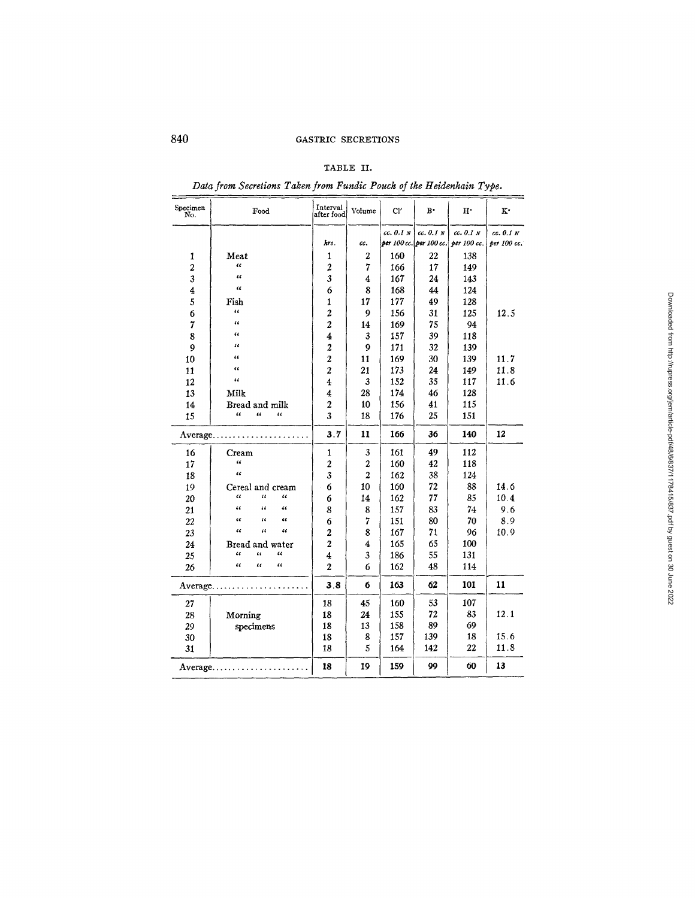# TABLE II.

*Data from Secretions Taken from Fundic Pouch of the Heidenhain Type.* 

| Specimen<br>No.         | Food                                                          | Interval<br>after food | Volume           | Cl'       | $\mathbf{B}$ | $\mathbf{H}^{\bullet}$              | $\mathbf{K}^*$ |
|-------------------------|---------------------------------------------------------------|------------------------|------------------|-----------|--------------|-------------------------------------|----------------|
|                         |                                                               |                        |                  | cc. 0.1 N | cc. 0.1 N    | cc. 0.1 N                           | cc. 0.1 N      |
|                         |                                                               | hrs.                   | cc.              |           |              | per 100 cc. per 100 cc. per 100 cc. | per 100 cc.    |
| 1                       | Meat                                                          | 1                      | 2                | 160       | 22           | 138                                 |                |
| $\overline{\mathbf{c}}$ | $\overline{\mathbf{a}}$                                       | $\overline{2}$         | 7                | 166       | 17           | 149                                 |                |
| $\overline{\mathbf{3}}$ | $\overline{\mathbf{a}}$                                       | 3                      | 4                | 167       | 24           | 143                                 |                |
| 4                       | $\epsilon$                                                    | 6                      | 8                | 168       | 44           | 124                                 |                |
| 5                       | Fish                                                          | 1                      | 17               | 177       | 49           | 128                                 |                |
| б                       | $\epsilon$                                                    | $\overline{c}$         | 9                | 156       | 31           | 125                                 | 12.5           |
| 7                       | $\epsilon$                                                    | $\overline{2}$         | 14               | 169       | 75           | 94                                  |                |
| 8                       | $\epsilon$                                                    | 4                      | 3                | 157       | 39           | 118                                 |                |
| 9                       | $\epsilon$                                                    | 2                      | $\boldsymbol{Q}$ | 171       | 32           | 139                                 |                |
| 10                      | t t                                                           | $\overline{a}$         | 11               | 169       | 30           | 139                                 | 11.7           |
| 11                      | t t                                                           | $\overline{c}$         | 21               | 173       | 24           | 149                                 | 11.8           |
| 12                      | $\epsilon$                                                    | 4                      | 3                | 152       | 35           | 117                                 | 11.6           |
| 13                      | Milk                                                          | 4                      | 28               | 174       | 46           | 128                                 |                |
| 14                      | Bread and milk                                                | $\mathbf{2}$           | 10               | 156       | 41           | 115                                 |                |
| 15                      | $\alpha$<br>"<br>$\epsilon$                                   | 3                      | 18               | 176       | 25           | 151                                 |                |
|                         | $Average. \ldots \ldots \ldots \ldots \ldots$                 | 3.7                    | 11               | 166       | 36           | 140                                 | 12             |
| 16                      | Cream                                                         | 1                      | 3                | 161       | 49           | 112                                 |                |
| 17                      | $\epsilon$                                                    | $\overline{2}$         | 2                | 160       | 42           | 118                                 |                |
| 18                      | $\epsilon$                                                    | 3                      | $\overline{2}$   | 162       | 38           | 124                                 |                |
| 19                      | Cereal and cream                                              | 6                      | 10               | 160       | 72           | 88                                  | 14.6           |
| 20                      | $\epsilon$<br>$\overline{a}$<br>$\alpha$                      | 6                      | 14               | 162       | 77           | 85                                  | 10.4           |
| 21                      | $\overline{\mathbf{u}}$<br>$\ddot{\phantom{a}}$<br>$\epsilon$ | 8                      | 8                | 157       | 83           | 74                                  | 9.6            |
| 22                      | $\epsilon$<br>$\epsilon$<br>$\epsilon$                        | 6                      | 7                | 151       | 80           | 70                                  | 8.9            |
| 23                      | $\epsilon$<br>$\epsilon$<br>$\epsilon$                        | $\overline{c}$         | 8                | 167       | 71           | 96                                  | 10.9           |
| 24                      | Bread and water                                               | $\overline{2}$         | 4                | 165       | 65           | 100                                 |                |
| 25                      | $\epsilon$<br>$\epsilon$<br>$\epsilon$                        | 4                      | 3                | 186       | 55           | 131                                 |                |
| 26                      | $\alpha$<br>$\alpha$<br>$\epsilon$                            | $\overline{2}$         | 6                | 162       | 48           | 114                                 |                |
|                         | $Average \ldots \ldots \ldots$                                | 3.8                    | 6                | 163       | 62           | 101                                 | 11             |
| 27                      |                                                               | 18                     | 45               | 160       | 53           | 107                                 |                |
| 28                      | Morning                                                       | 18                     | 24               | 155       | 72           | 83                                  | 12.1           |
| 29                      | specimens                                                     | 18                     | 13               | 158       | 89           | 69                                  |                |
| 30                      |                                                               | 18                     | 8                | 157       | 139          | 18                                  | 15.6           |
| 31                      |                                                               | 18                     | 5                | 164       | 142          | 22                                  | 11.8           |
|                         | $Average \ldots \ldots \ldots \ldots \ldots$                  | 18                     | 19               | 159       | 99           | 60                                  | 13             |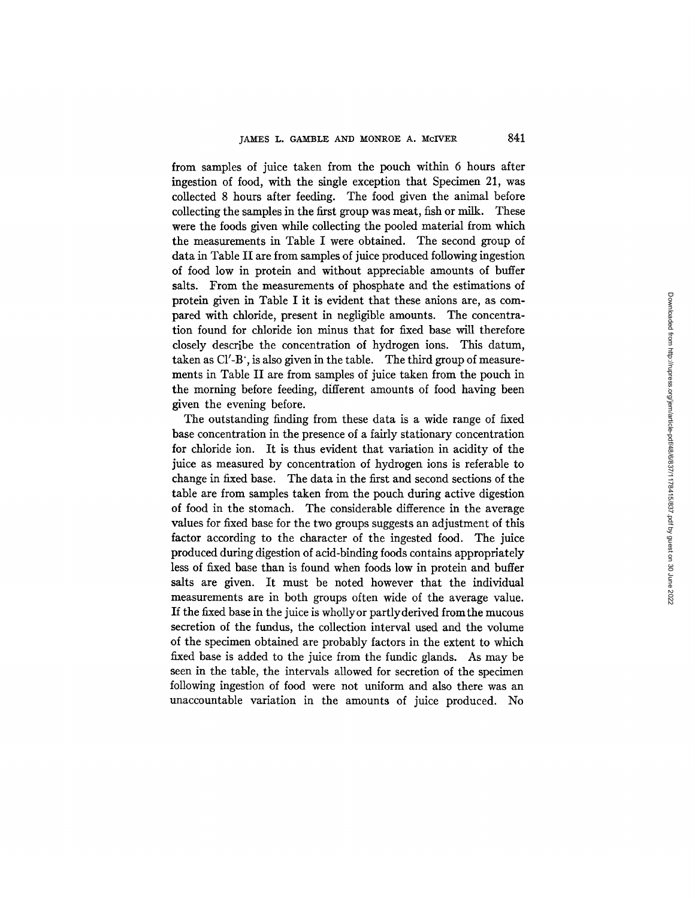from samples of juice taken from the pouch within 6 hours after ingestion of food, with the single exception that Specimen 21, was collected 8 hours after feeding. The food given the animal before collecting the samples in the first group was meat, fish or milk. These were the foods given while collecting the pooled material from which the measurements in Table I were obtained. The second group of data in Table II are from samples of juice produced following ingestion of food low in protein and without appreciable amounts of buffer salts. From the measurements of phosphate and the estimations of protein given in Table I it is evident that these anions are, as compared with chloride, present in negligible amounts. The concentration found for chloride ion minus that for fixed base will therefore closely describe the concentration of hydrogen ions. This datum, taken as CI'-B', is also given in the table. The third group of measurements in Table II are from samples of juice taken from the pouch in the morning before feeding, different amounts of food having been given the evening before.

The outstanding finding from these data is a wide range of fixed base concentration in the presence of a fairly stationary concentration for chloride ion. It is thus evident that variation in acidity of the juice as measured by concentration of hydrogen ions is referable to change in fixed base. The data in the first and second sections of the table are from samples taken from the pouch during active digestion of food in the stomach. The considerable difference in the average values for fixed base for the two groups suggests an adjustment of this factor according to the character of the ingested food. The juice produced during digestion of acid-binding foods contains appropriately less of fixed base than is found when foods low in protein and buffer salts are given. It must be noted however that the individual measurements are in both groups often wide of the average value. If the fixed base in the juice is whollyor partlyderived fromthe mucous secretion of the fundus, the collection interval used and the volume of the specimen obtained are probably factors in the extent to which fixed base is added to the juice from the fundic glands. As may be seen in the table, the intervals allowed for secretion of the specimen following ingestion of food were not uniform and also there was an unaccountable variation in the amounts of juice produced. No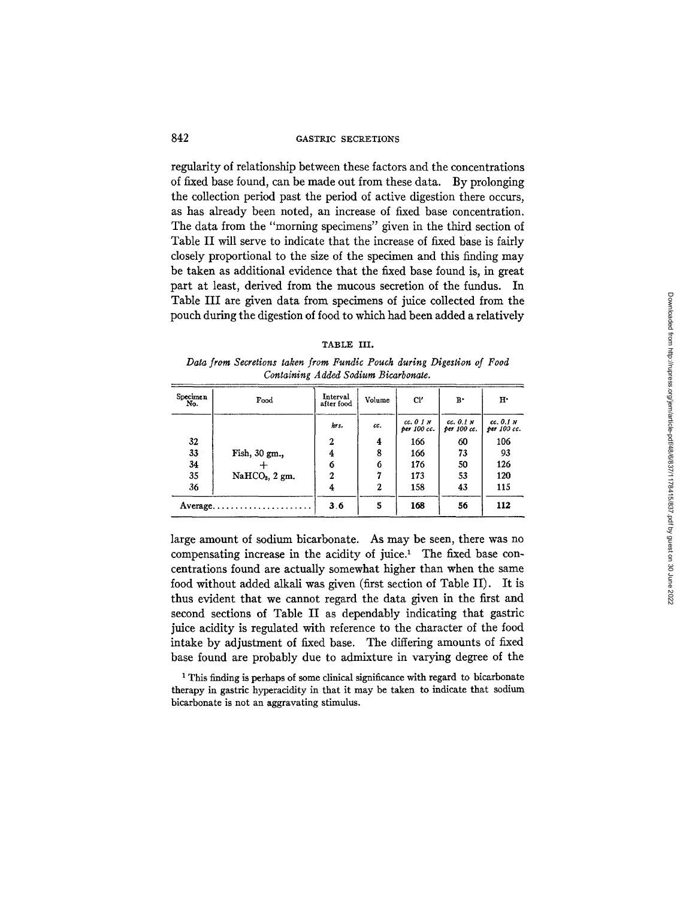regularity of relationship between these factors and the concentrations of fixed base found, can be made out from these data. By prolonging the collection period past the period of active digestion there occurs, as has already been noted, an increase of fixed base concentration. The data from the "morning specimens" given in the third section of Table II will serve to indicate that the increase of fixed base is fairly closely proportional to the size of the specimen and this finding may be taken as additional evidence that the fixed base found is, in great part at least, derived from the mucous secretion of the fundus. In Table III are given data from specimens of juice collected from the pouch during the digestion of food to which had been added a relatively

#### TABLE III.

*Data from Secretions taken from Fundic Pouch during Digestion of Food Containing Added Sodium Bicarbonae.* 

| Specimen<br>No. | Food             | Interval<br>after food | Volume       | Cl'                      | $B^*$                    | H٠                       |
|-----------------|------------------|------------------------|--------------|--------------------------|--------------------------|--------------------------|
|                 |                  | hrs.                   | cc.          | cc. 0 1 N<br>per 100 cc. | cc. 0.1 N<br>per 100 cc. | cc. 0.1 N<br>ber 100 cc. |
| 32              |                  | 2                      | 4            | 166                      | 60                       | 106                      |
| 33              | Fish, 30 gm.,    | 4                      | 8            | 166                      | 73                       | 93                       |
| 34              |                  | 6                      | 6            | 176                      | 50                       | 126                      |
| 35              | $NaHCO3$ , 2 gm. | $\mathbf{2}$           | 7            | 173                      | 53                       | 120                      |
| 36              |                  | 4                      | $\mathbf{2}$ | 158                      | 43                       | 115                      |
|                 | Average          | 3.6                    | 5            | 168                      | 56                       | 112                      |

large amount of sodium bicarbonate. As may be seen, there was no compensating increase in the acidity of juice.<sup>1</sup> The fixed base concentrations found are actually somewhat higher than when the same food without added alkali was given (first section of Table II). It is thus evident that we cannot regard the data given in the first and second sections of Table II as dependably indicating that gastric juice acidity is regulated with reference to the character of the food intake by adjustment of fixed base. The differing amounts of fixed base found are probably due to admixture in varying degree of the

1 This finding is perhaps of some clinical significance with regard to bicarbonate therapy in gastric hyperacidity in that it may be taken to indicate that sodium bicarbonate is not an aggravating stimulus.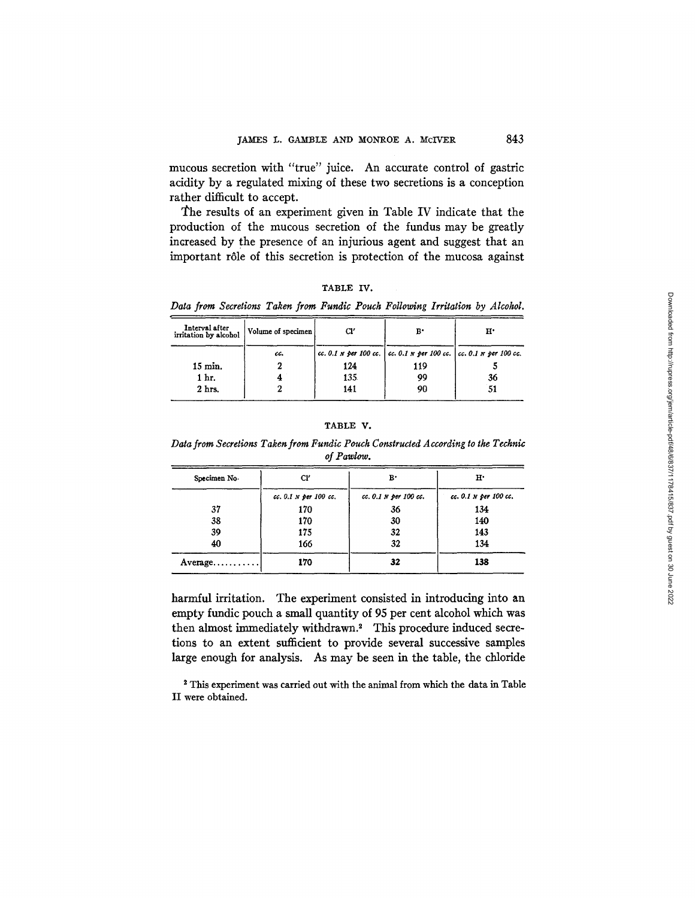mucous secretion with "true" juice. An accurate control of gastric acidity by a regulated mixing of these two secretions is a conception rather difficult to accept.

The results of an experiment given in Table IV indicate that the production of the mucous secretion of the fundus may be greatly increased by the presence of an injurious agent and suggest that an important r61e of this secretion is protection of the mucosa against

| <b>TABLE</b> | IV. |  |
|--------------|-----|--|
|              |     |  |

*Data from Secretions Taken from Fundic Pouch Following Irritation by Alcohol.* 

| Interval after<br>irritation by alcohol | Volume of specimen | Cl' | в٠                                                                          | н٠ |
|-----------------------------------------|--------------------|-----|-----------------------------------------------------------------------------|----|
|                                         | cc.                |     | cc. 0.1 $N$ per 100 cc.   cc. 0.1 $N$ per 100 cc.   cc. 0.1 $N$ per 100 cc. |    |
| $15 \text{ min.}$                       |                    | 124 | 119                                                                         |    |
| 1 hr.                                   |                    | 135 | 99                                                                          | 36 |
| 2 hrs.                                  |                    | 141 | 90                                                                          | 51 |

## TABLE V.

*Data from Secretions Taken from Fundic Pouch Constructed According to the Technic of Pawlow.* 

| Specimen No.                   | Cľ                    | $B^*$                 | $H^*$                 |
|--------------------------------|-----------------------|-----------------------|-----------------------|
|                                | cc. 0.1 N per 100 cc. | cc. 0.1 N per 100 cc. | cc. 0.1 N per 100 cc. |
| 37                             | 170                   | 36                    | 134                   |
| 38                             | 170                   | 30                    | 140                   |
| 39                             | 175                   | 32                    | 143                   |
| 40                             | 166                   | 32                    | 134                   |
| $Average \ldots \ldots \ldots$ | 170                   | 32                    | 138                   |

harmful irritation. The experiment consisted in introducing into an empty fundic pouch a small quantity of 95 per cent alcohol which was then almost immediately withdrawn? This procedure induced secretions to an extent sufficient to provide several successive samples large enough for analysis. As may be seen in the table, the chloride

<sup>2</sup> This experiment was carried out with the animal from which the data in Table II were obtained.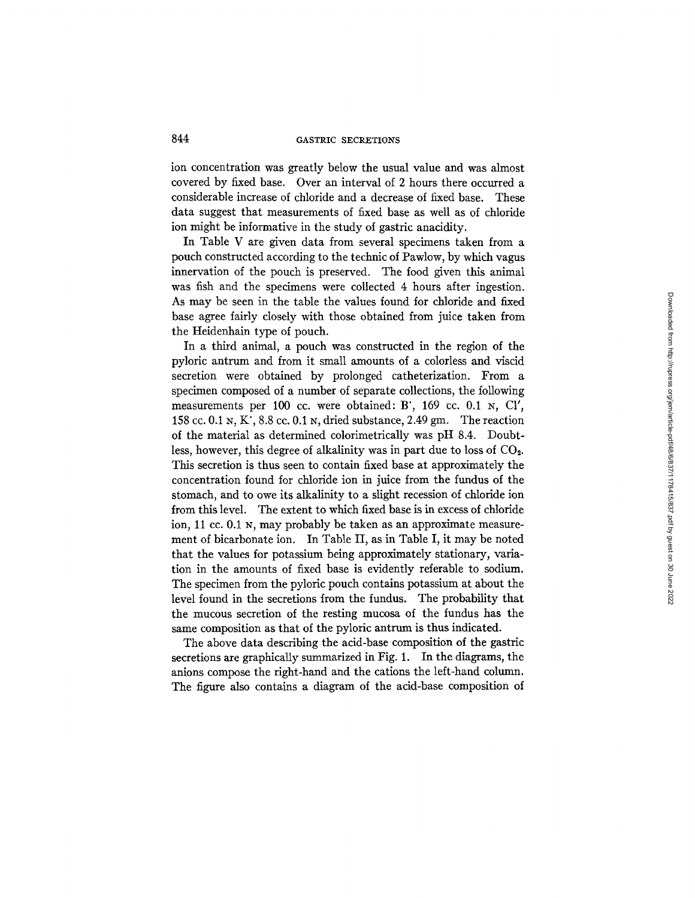ion concentration was greatly below the usual value and was almost covered by fixed base. Over an interval of 2 hours there occurred a considerable increase of chloride and a decrease of fixed base. These data suggest that measurements of fixed base as well as of chloride ion might be informative in the study of gastric anacidity.

In Table V are given data from several specimens taken from a pouch constructed according to the technic of Pawlow, by which vagus innervation of the pouch is preserved. The food given this animal was fish and the specimens were collected 4 hours after ingestion. As may be seen in the table the values found for chloride and fixed base agree fairly closely with those obtained from juice taken from the Heidenhain type of pouch.

In a third animal, a pouch was constructed in the region of the pyloric antrum and from it small amounts of a colorless and viscid secretion were obtained by prolonged catheterization. From a specimen composed of a number of separate collections, the following measurements per 100 cc. were obtained: B', 169 cc.  $0.1 \text{ N}$ , Cl', 158 cc. 0.1 N, K', 8.8 cc. 0.1 N, dried substance, 2.49 gm. The reaction of the material as determined colorimetrically was pH 8.4. Doubtless, however, this degree of alkalinity was in part due to loss of  $CO<sub>2</sub>$ . This secretion is thus seen to contain fixed base at approximately the concentration found for chloride ion in juice from the fundus of the stomach, and to owe its alkalinity to a slight recession of chloride ion from this level. The extent to which fixed base is in excess of chloride ion, 11 cc. 0.1 N, may probably be taken as an approximate measurement of bicarbonate ion. In Table II, as in Table I, it may be noted that the values for potassium being approximately stationary, variation in the amounts of fixed base is evidently referable to sodium. The specimen from the pyloric pouch contains potassium at about the level found in the secretions from the fundus. The probability that the mucous secretion of the resting mucosa of the fundus has the same composition as that of the pyloric antrum is thus indicated.

The above data describing the acid-base composition of the gastric secretions are graphically summarized in Fig. 1. In the diagrams, the anions compose the right-hand and the cations the left-hand column. The figure also contains a diagram of the acid-base composition of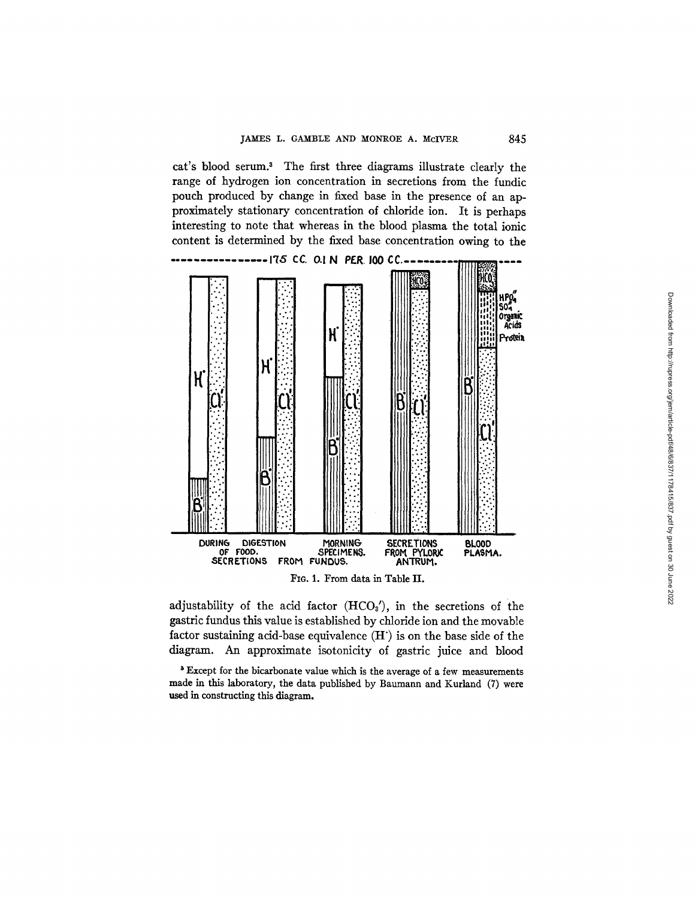**cat's blood serum. 3 The first three diagrams illustrate clearly the range of hydrogen ion concentration in secretions from the fundic pouch produced by change in fixed base in the presence of an approximately stationary concentration of chloride ion. It is perhaps interesting to note that whereas in the blood plasma the total ionic content is determined by the fixed base concentration owing to the** 





adjustability of the acid factor (HCO<sub>3</sub>'), in the secretions of the **gastric fundus this value is established by chloride ion and the movable factor sustaining acid-base equivalence (H') is on the base side of the diagram. An approximate isotonicity of gastric juice and blood** 

3 **Except for the bicarbonate value which is the average** of a few **measurements made in this laboratory, the data published by Baumann and Kurland (7) were used in constructing this diagram.**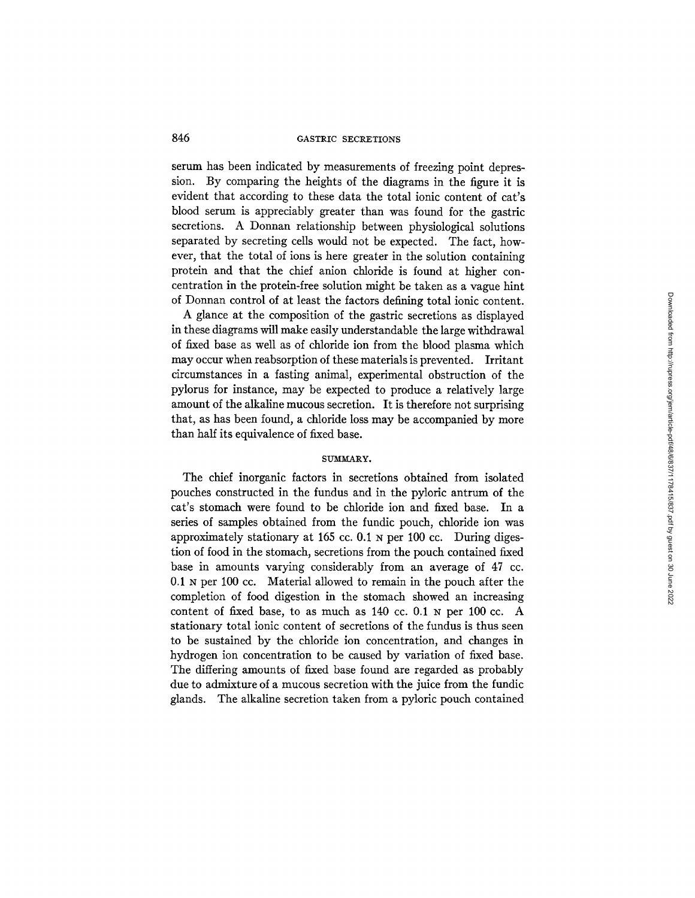serum has been indicated by measurements of freezing point depression. By comparing the heights of the diagrams in the figure it is evident that according to these data the total ionic content of cat's blood serum is appreciably greater than was found for the gastric secretions. A Donnan relationship between physiological solutions separated by secreting cells would not be expected. The fact, however, that the total of ions is here greater in the solution containing protein and that the chief anion chloride is found at higher concentration in the protein-free solution might be taken as a vague hint of Donnan control of at least the factors defining total ionic content.

A glance at the composition of the gastric secretions as displayed in these diagrams will make easily understandable the large withdrawal of fixed base as well as of chloride ion from the blood plasma which may occur when reabsorption of these materials is prevented. Irritant circumstances in a fasting animal, experimental obstruction of the pylorus for instance, may be expected to produce a relatively large amount of the alkaline mucous secretion. It is therefore not surprising that, as has been found, a chloride loss may be accompanied by more than half its equivalence of fixed base.

### SUMMARY.

The chief inorganic factors in secretions obtained from isolated pouches constructed in the fundus and in the pyloric antrum of the cat's stomach were found to be chloride ion and fixed base. In a series of samples obtained from the fundic pouch, chloride ion was approximately stationary at 165 cc. 0.1 N per 100 cc. During digestion of food in the stomach, secretions from the pouch contained fixed base in amounts varying considerably from an average of 47 cc. 0.1 N per 100 cc. Material allowed to remain in the pouch after the completion of food digestion in the stomach showed an increasing content of fixed base, to as much as 140 cc. 0.1 N per 100 cc. A stationary total ionic content of secretions of the fundus is thus seen to be sustained by the chloride ion concentration, and changes in hydrogen ion concentration to be caused by variation of fixed base. The differing amounts of fixed base found are regarded as probably due to admixture of a mucous secretion with the juice from the fundic glands. The alkaline secretion taken from a pyloric pouch contained